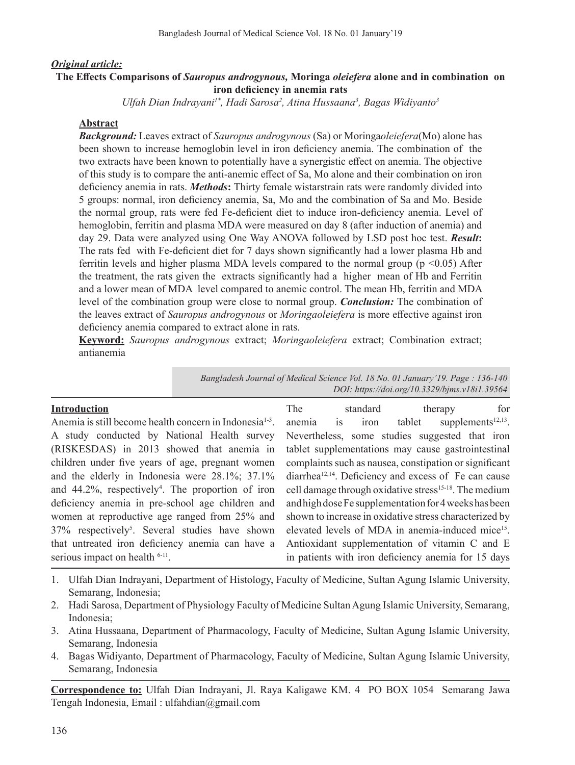#### *Original article:*

#### **The Effects Comparisons of** *Sauropus androgynous,* **Moringa** *oleiefera* **alone and in combination on iron deficiency in anemia rats**

Ulfah Dian Indrayani<sup>1\*</sup>, Hadi Sarosa<sup>2</sup>, Atina Hussaana<sup>3</sup>, Bagas Widiyanto<sup>3</sup>

#### **Abstract**

*Background:* Leaves extract of *Sauropus androgynous* (Sa) or Moringa*oleiefera*(Mo) alone has been shown to increase hemoglobin level in iron deficiency anemia. The combination of the two extracts have been known to potentially have a synergistic effect on anemia. The objective of this study is to compare the anti-anemic effect of Sa, Mo alone and their combination on iron deficiency anemia in rats. *Methods***:** Thirty female wistarstrain rats were randomly divided into 5 groups: normal, iron deficiency anemia, Sa, Mo and the combination of Sa and Mo. Beside the normal group, rats were fed Fe-deficient diet to induce iron-deficiency anemia. Level of hemoglobin, ferritin and plasma MDA were measured on day 8 (after induction of anemia) and day 29. Data were analyzed using One Way ANOVA followed by LSD post hoc test. *Result***:**  The rats fed with Fe-deficient diet for 7 days shown significantly had a lower plasma Hb and ferritin levels and higher plasma MDA levels compared to the normal group ( $p \le 0.05$ ) After the treatment, the rats given the extracts significantly had a higher mean of Hb and Ferritin and a lower mean of MDA level compared to anemic control. The mean Hb, ferritin and MDA level of the combination group were close to normal group. *Conclusion:* The combination of the leaves extract of *Sauropus androgynous* or *Moringaoleiefera* is more effective against iron deficiency anemia compared to extract alone in rats.

**Keyword:** *Sauropus androgynous* extract; *Moringaoleiefera* extract; Combination extract; antianemia

> *Bangladesh Journal of Medical Science Vol. 18 No. 01 January'19. Page : 136-140 DOI: https://doi.org/10.3329/bjms.v18i1.39564*

| <b>Introduction</b>                                                 | The    | standard | therapy                                                            | for                   |
|---------------------------------------------------------------------|--------|----------|--------------------------------------------------------------------|-----------------------|
| Anemia is still become health concern in Indonesia <sup>1-3</sup> . | anemia | is iron  | tablet                                                             | supplements $12,13$ . |
| A study conducted by National Health survey                         |        |          | Nevertheless, some studies suggested that iron                     |                       |
| (RISKESDAS) in 2013 showed that anemia in                           |        |          | tablet supplementations may cause gastrointestinal                 |                       |
| children under five years of age, pregnant women                    |        |          | complaints such as nausea, constipation or significant             |                       |
| and the elderly in Indonesia were 28.1%; 37.1%                      |        |          | diarrhea <sup>12,14</sup> . Deficiency and excess of Fe can cause  |                       |
| and 44.2%, respectively <sup>4</sup> . The proportion of iron       |        |          | cell damage through oxidative stress <sup>15-18</sup> . The medium |                       |
| deficiency anemia in pre-school age children and                    |        |          | and high dose Fe supplementation for 4 weeks has been              |                       |
| women at reproductive age ranged from 25% and                       |        |          | shown to increase in oxidative stress characterized by             |                       |
| 37% respectively <sup>5</sup> . Several studies have shown          |        |          | elevated levels of MDA in anemia-induced mice <sup>15</sup> .      |                       |
| that untreated iron deficiency anemia can have a                    |        |          | Antioxidant supplementation of vitamin C and E                     |                       |
| serious impact on health $6-11$ .                                   |        |          | in patients with iron deficiency anemia for 15 days                |                       |

- 1. Ulfah Dian Indrayani, Department of Histology, Faculty of Medicine, Sultan Agung Islamic University, Semarang, Indonesia;
- 2. Hadi Sarosa, Department of Physiology Faculty of Medicine Sultan Agung Islamic University, Semarang, Indonesia;
- 3. Atina Hussaana, Department of Pharmacology, Faculty of Medicine, Sultan Agung Islamic University, Semarang, Indonesia
- 4. Bagas Widiyanto, Department of Pharmacology, Faculty of Medicine, Sultan Agung Islamic University, Semarang, Indonesia

**Correspondence to:** Ulfah Dian Indrayani, Jl. Raya Kaligawe KM. 4 PO BOX 1054 Semarang Jawa Tengah Indonesia, Email : ulfahdian@gmail.com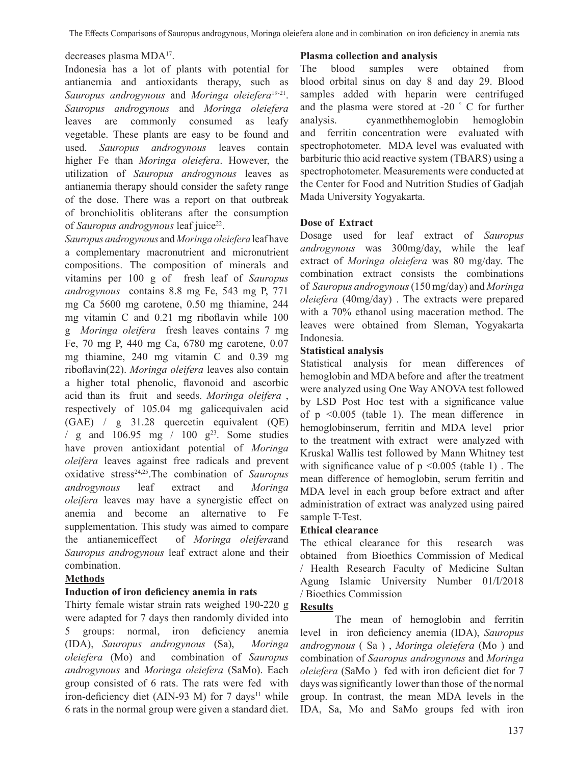#### decreases plasma MDA17.

Indonesia has a lot of plants with potential for antianemia and antioxidants therapy, such as *Sauropus androgynous* and *Moringa oleiefera*19-21. *Sauropus androgynous* and *Moringa oleiefera*  leaves are commonly consumed as leafy vegetable. These plants are easy to be found and used. *Sauropus androgynous* leaves contain higher Fe than *Moringa oleiefera*. However, the utilization of *Sauropus androgynous* leaves as antianemia therapy should consider the safety range of the dose. There was a report on that outbreak of bronchiolitis obliterans after the consumption of *Sauropus androgynous* leaf juice<sup>22</sup>.

*Sauropus androgynous* and *Moringa oleiefera* leaf have a complementary macronutrient and micronutrient compositions. The composition of minerals and vitamins per 100 g of fresh leaf of *Sauropus androgynous* contains 8.8 mg Fe, 543 mg P, 771 mg Ca 5600 mg carotene, 0.50 mg thiamine, 244 mg vitamin C and 0.21 mg riboflavin while 100 g *Moringa oleifera* fresh leaves contains 7 mg Fe, 70 mg P, 440 mg Ca, 6780 mg carotene, 0.07 mg thiamine, 240 mg vitamin C and 0.39 mg riboflavin(22). *Moringa oleifera* leaves also contain a higher total phenolic, flavonoid and ascorbic acid than its fruit and seeds. *Moringa oleifera* , respectively of 105.04 mg galicequivalen acid (GAE) / g 31.28 quercetin equivalent (QE) / g and  $106.95$  mg /  $100$  g<sup>23</sup>. Some studies have proven antioxidant potential of *Moringa oleifera* leaves against free radicals and prevent oxidative stress24,25.The combination of *Sauropus androgynous* leaf extract and *Moringa oleifera* leaves may have a synergistic effect on anemia and become an alternative to Fe supplementation. This study was aimed to compare the antianemiceffect of *Moringa oleifera*and *Sauropus androgynous* leaf extract alone and their combination.

## **Methods**

## **Induction of iron deficiency anemia in rats**

Thirty female wistar strain rats weighed 190-220 g were adapted for 7 days then randomly divided into 5 groups: normal, iron deficiency anemia (IDA), *Sauropus androgynous* (Sa), *Moringa oleiefera* (Mo) and combination of *Sauropus androgynous* and *Moringa oleiefera* (SaMo). Each group consisted of 6 rats. The rats were fed with iron-deficiency diet (AIN-93 M) for 7 days<sup>11</sup> while 6 rats in the normal group were given a standard diet.

#### **Plasma collection and analysis**

The blood samples were obtained from blood orbital sinus on day 8 and day 29. Blood samples added with heparin were centrifuged and the plasma were stored at -20 ° C for further analysis. cyanmethhemoglobin hemoglobin and ferritin concentration were evaluated with spectrophotometer. MDA level was evaluated with barbituric thio acid reactive system (TBARS) using a spectrophotometer. Measurements were conducted at the Center for Food and Nutrition Studies of Gadjah Mada University Yogyakarta.

## **Dose of Extract**

Dosage used for leaf extract of *Sauropus androgynous* was 300mg/day, while the leaf extract of *Moringa oleiefera* was 80 mg/day. The combination extract consists the combinations of *Sauropus androgynous*(150 mg/day) and *Moringa oleiefera* (40mg/day) . The extracts were prepared with a 70% ethanol using maceration method. The leaves were obtained from Sleman, Yogyakarta Indonesia.

## **Statistical analysis**

Statistical analysis for mean differences of hemoglobin and MDA before and after the treatment were analyzed using One Way ANOVA test followed by LSD Post Hoc test with a significance value of p <0.005 (table 1). The mean difference in hemoglobinserum, ferritin and MDA level prior to the treatment with extract were analyzed with Kruskal Wallis test followed by Mann Whitney test with significance value of  $p \le 0.005$  (table 1). The mean difference of hemoglobin, serum ferritin and MDA level in each group before extract and after administration of extract was analyzed using paired sample T-Test.

## **Ethical clearance**

The ethical clearance for this research was obtained from Bioethics Commission of Medical / Health Research Faculty of Medicine Sultan Agung Islamic University Number 01/I/2018 / Bioethics Commission

## **Results**

The mean of hemoglobin and ferritin level in iron deficiency anemia (IDA), *Sauropus androgynous* ( Sa ) , *Moringa oleiefera* (Mo ) and combination of *Sauropus androgynous* and *Moringa oleiefera* (SaMo ) fed with iron deficient diet for 7 days was significantly lower than those of the normal group. In contrast, the mean MDA levels in the IDA, Sa, Mo and SaMo groups fed with iron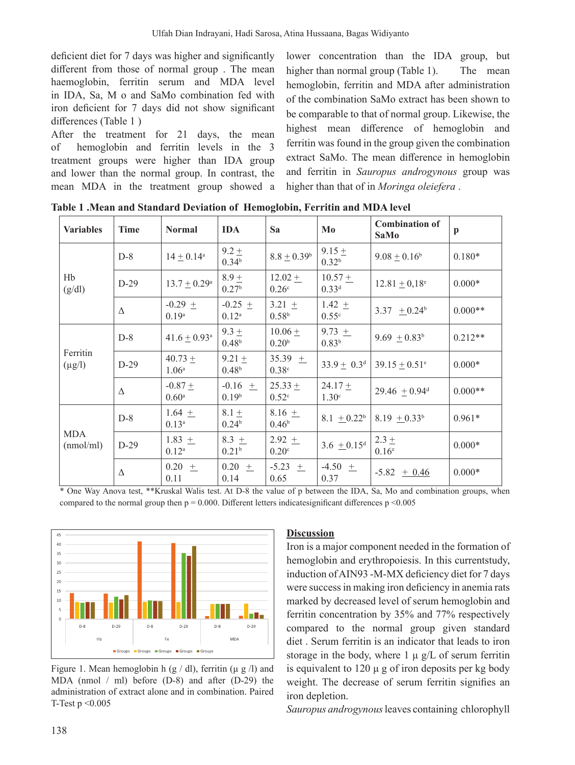deficient diet for 7 days was higher and significantly different from those of normal group. The mean haemoglobin, ferritin serum and MDA level in IDA, Sa, M o and SaMo combination fed with iron deficient for 7 days did not show significant differences (Table 1)

After the treatment for 21 days, the mean hemoglobin and ferritin levels in the 3 of treatment groups were higher than IDA group and lower than the normal group. In contrast, the mean MDA in the treatment group showed a

lower concentration than the IDA group, but higher than normal group (Table 1). The mean hemoglobin, ferritin and MDA after administration of the combination SaMo extract has been shown to be comparable to that of normal group. Likewise, the highest mean difference of hemoglobin and ferritin was found in the group given the combination extract SaMo. The mean difference in hemoglobin and ferritin in Sauropus androgynous group was higher than that of in Moringa oleiefera.

| <b>Variables</b>        | <b>Time</b> | <b>Normal</b>                  | <b>IDA</b>                     | Sa                               | Mo                              | <b>Combination of</b><br><b>SaMo</b> | $\mathbf{p}$ |
|-------------------------|-------------|--------------------------------|--------------------------------|----------------------------------|---------------------------------|--------------------------------------|--------------|
| Hb<br>(g/dl)            | $D-8$       | $14 \pm 0.14^{\circ}$          | $9.2 \pm$<br>0.34 <sup>b</sup> | $8.8 \pm 0.39^b$                 | $9.15 +$<br>0.32 <sup>b</sup>   | $9.08 \pm 0.16^b$                    | $0.180*$     |
|                         | $D-29$      | $13.7 \pm 0.29^{\rm a}$        | $8.9 \pm$<br>0.27 <sup>b</sup> | $12.02 +$<br>0.26 <sup>c</sup>   | $10.57 +$<br>$0.33^{d}$         | $12.81 \pm 0.18$ <sup>e</sup>        | $0.000*$     |
|                         | Δ           | $-0.29 \pm$<br>$0.19^{a}$      | $-0.25 \pm$<br>$0.12^{a}$      | $3.21 \pm$<br>0.58 <sup>b</sup>  | 1.42 $\pm$<br>0.55 <sup>c</sup> | 3.37 $\pm 0.24^b$                    | $0.000**$    |
| Ferritin<br>$(\mu g/l)$ | $D-8$       | $41.6 \pm 0.93$ <sup>a</sup>   | $9.3 \pm$<br>0.48 <sup>b</sup> | $10.06 \pm$<br>0.20 <sup>b</sup> | 9.73 $+$<br>0.83 <sup>b</sup>   | 9.69 $\pm 0.83^b$                    | $0.212**$    |
|                         | $D-29$      | $40.73 +$<br>$1.06^{\circ}$    | $9.21 +$<br>0.48 <sup>b</sup>  | 35.39 $+$<br>0.38c               | $33.9 \pm 0.3^{\rm d}$          | $39.15 \pm 0.51^e$                   | $0.000*$     |
|                         | Δ           | $-0.87 +$<br>0.60 <sup>a</sup> | $-0.16 +$<br>0.19 <sup>b</sup> | $25.33 +$<br>$0.52^{\circ}$      | $24.17 +$<br>1.30 <sup>c</sup>  | $29.46 + 0.94$ <sup>d</sup>          | $0.000**$    |
| <b>MDA</b><br>(mmol/ml) | $D-8$       | $1.64 +$<br>$0.13^{a}$         | $8.1 \pm$<br>0.24 <sup>b</sup> | 8.16 $+$<br>0.46 <sup>b</sup>    | 8.1 $\pm$ 0.22 <sup>b</sup>     | $8.19 + 0.33^b$                      | $0.961*$     |
|                         | $D-29$      | $1.83 +$<br>$0.12^{\rm a}$     | 8.3 $+$<br>0.21 <sup>b</sup>   | $2.92 \pm$<br>0.20 <sup>c</sup>  | 3.6 $\pm$ 0.15 <sup>d</sup>     | $2.3 +$<br>0.16 <sup>e</sup>         | $0.000*$     |
|                         | Δ           | $0.20 +$<br>0.11               | $0.20 \pm$<br>0.14             | $-5.23 \pm$<br>0.65              | $-4.50 \pm$<br>0.37             | $-5.82 + 0.46$                       | $0.000*$     |

Table 1 .Mean and Standard Deviation of Hemoglobin, Ferritin and MDA level

\* One Way Anova test, \*\*Kruskal Walis test. At D-8 the value of p between the IDA, Sa, Mo and combination groups, when compared to the normal group then  $p = 0.000$ . Different letters indicatesignificant differences  $p \le 0.005$ 



Figure 1. Mean hemoglobin h  $(g/dl)$ , ferritin ( $\mu$  g /l) and MDA (nmol  $/$  ml) before (D-8) and after (D-29) the administration of extract alone and in combination. Paired T-Test  $p \leq 0.005$ 

## **Discussion**

Iron is a major component needed in the formation of hemoglobin and erythropoiesis. In this currentstudy, induction of AIN93 -M-MX deficiency diet for 7 days were success in making iron deficiency in anemia rats marked by decreased level of serum hemoglobin and ferritin concentration by 35% and 77% respectively compared to the normal group given standard diet. Serum ferritin is an indicator that leads to iron storage in the body, where  $1 \mu g/L$  of serum ferritin is equivalent to  $120 \mu$  g of iron deposits per kg body weight. The decrease of serum ferritin signifies an iron depletion.

Sauropus androgynous leaves containing chlorophyll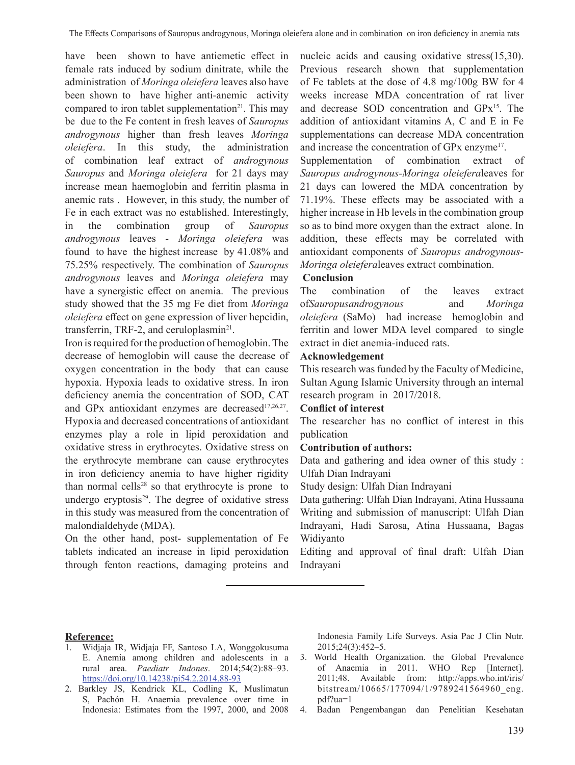have been shown to have antiemetic effect in female rats induced by sodium dinitrate, while the administration of *Moringa oleiefera* leaves also have been shown to have higher anti-anemic activity compared to iron tablet supplementation<sup>21</sup>. This may be due to the Fe content in fresh leaves of *Sauropus androgynous* higher than fresh leaves *Moringa oleiefera*. In this study, the administration of combination leaf extract of *androgynous Sauropus* and *Moringa oleiefera* for 21 days may increase mean haemoglobin and ferritin plasma in anemic rats . However, in this study, the number of Fe in each extract was no established. Interestingly, in the combination group of *Sauropus androgynous* leaves *- Moringa oleiefera* was found to have the highest increase by 41.08% and 75.25% respectively. The combination of *Sauropus androgynous* leaves and *Moringa oleiefera* may have a synergistic effect on anemia. The previous study showed that the 35 mg Fe diet from *Moringa oleiefera* effect on gene expression of liver hepcidin, transferrin, TRF-2, and ceruloplasmin<sup>21</sup>.

Iron isrequired forthe production of hemoglobin.The decrease of hemoglobin will cause the decrease of oxygen concentration in the body that can cause hypoxia. Hypoxia leads to oxidative stress. In iron deficiency anemia the concentration of SOD, CAT and GPx antioxidant enzymes are decreased<sup>17,26,27</sup>. Hypoxia and decreased concentrations of antioxidant enzymes play a role in lipid peroxidation and oxidative stress in erythrocytes. Oxidative stress on the erythrocyte membrane can cause erythrocytes in iron deficiency anemia to have higher rigidity than normal cells<sup>28</sup> so that erythrocyte is prone to undergo eryptosis $29$ . The degree of oxidative stress in this study was measured from the concentration of malondialdehyde (MDA).

On the other hand, post- supplementation of Fe tablets indicated an increase in lipid peroxidation through fenton reactions, damaging proteins and nucleic acids and causing oxidative stress(15,30). Previous research shown that supplementation of Fe tablets at the dose of 4.8 mg/100g BW for 4 weeks increase MDA concentration of rat liver and decrease SOD concentration and GPx15. The addition of antioxidant vitamins A, C and E in Fe supplementations can decrease MDA concentration and increase the concentration of GPx enzyme17.

Supplementation of combination extract of *Sauropus androgynous-Moringa oleiefera*leaves for 21 days can lowered the MDA concentration by 71.19%. These effects may be associated with a higher increase in Hb levels in the combination group so as to bind more oxygen than the extract alone. In addition, these effects may be correlated with antioxidant components of *Sauropus androgynous-Moringa oleiefera*leaves extract combination.

# **Conclusion**

The combination of the leaves extract of*Sauropusandrogynous* and *Moringa oleiefera* (SaMo) had increase hemoglobin and ferritin and lower MDA level compared to single extract in diet anemia-induced rats.

# **Acknowledgement**

This research was funded by the Faculty of Medicine, Sultan Agung Islamic University through an internal research program in 2017/2018.

# **Conflict of interest**

The researcher has no conflict of interest in this publication

## **Contribution of authors:**

Data and gathering and idea owner of this study : Ulfah Dian Indrayani

Study design: Ulfah Dian Indrayani

Data gathering: Ulfah Dian Indrayani, Atina Hussaana Writing and submission of manuscript: Ulfah Dian Indrayani, Hadi Sarosa, Atina Hussaana, Bagas Widiyanto

Editing and approval of final draft: Ulfah Dian Indrayani

#### **Reference:**

- Widjaja IR, Widjaja FF, Santoso LA, Wonggokusuma E. Anemia among children and adolescents in a rural area. *Paediatr Indones*. 2014;54(2):88–93. https://doi.org/10.14238/pi54.2.2014.88-93
- 2. Barkley JS, Kendrick KL, Codling K, Muslimatun S, Pachón H. Anaemia prevalence over time in Indonesia: Estimates from the 1997, 2000, and 2008

Indonesia Family Life Surveys. Asia Pac J Clin Nutr. 2015;24(3):452–5.

- 3. World Health Organization. the Global Prevalence of Anaemia in 2011. WHO Rep [Internet]. 2011;48. Available from: http://apps.who.int/iris/ bitstream/10665/177094/1/9789241564960 eng. pdf?ua=1
- 4. Badan Pengembangan dan Penelitian Kesehatan